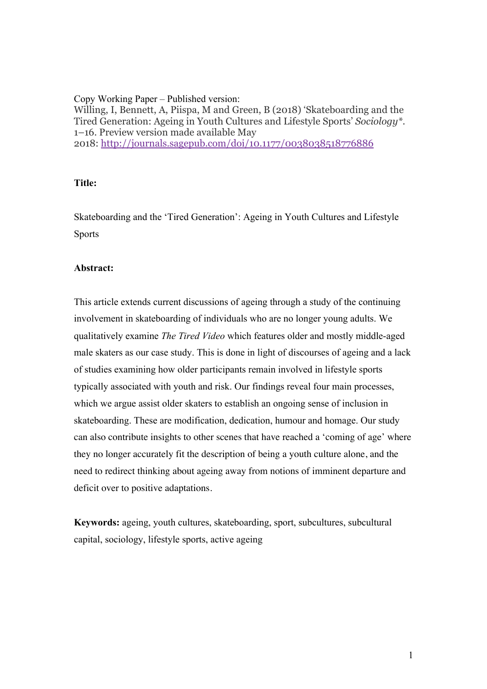Copy Working Paper – Published version: Willing, I, Bennett, A, Piispa, M and Green, B (2018) 'Skateboarding and the Tired Generation: Ageing in Youth Cultures and Lifestyle Sports' *Sociology\**. 1–16. Preview version made available May 2018: http://journals.sagepub.com/doi/10.1177/0038038518776886

### **Title:**

Skateboarding and the 'Tired Generation': Ageing in Youth Cultures and Lifestyle Sports

### **Abstract:**

This article extends current discussions of ageing through a study of the continuing involvement in skateboarding of individuals who are no longer young adults. We qualitatively examine *The Tired Video* which features older and mostly middle-aged male skaters as our case study. This is done in light of discourses of ageing and a lack of studies examining how older participants remain involved in lifestyle sports typically associated with youth and risk. Our findings reveal four main processes, which we argue assist older skaters to establish an ongoing sense of inclusion in skateboarding. These are modification, dedication, humour and homage. Our study can also contribute insights to other scenes that have reached a 'coming of age' where they no longer accurately fit the description of being a youth culture alone, and the need to redirect thinking about ageing away from notions of imminent departure and deficit over to positive adaptations.

**Keywords:** ageing, youth cultures, skateboarding, sport, subcultures, subcultural capital, sociology, lifestyle sports, active ageing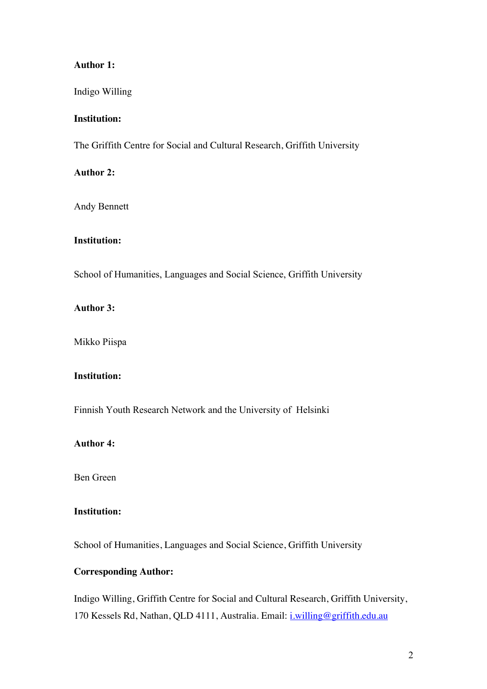# **Author 1:**

Indigo Willing

## **Institution:**

The Griffith Centre for Social and Cultural Research, Griffith University

## **Author 2:**

Andy Bennett

# **Institution:**

School of Humanities, Languages and Social Science, Griffith University

# **Author 3:**

Mikko Piispa

# **Institution:**

Finnish Youth Research Network and the University of Helsinki

# **Author 4:**

Ben Green

# **Institution:**

School of Humanities, Languages and Social Science, Griffith University

# **Corresponding Author:**

Indigo Willing, Griffith Centre for Social and Cultural Research, Griffith University, 170 Kessels Rd, Nathan, QLD 4111, Australia. Email: i.willing@griffith.edu.au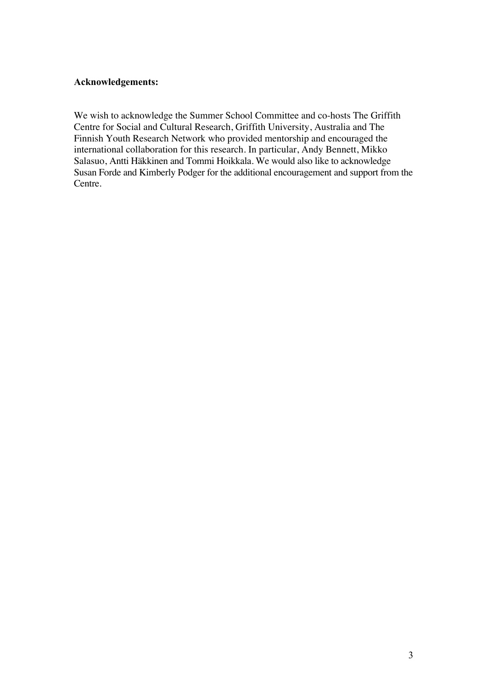# **Acknowledgements:**

We wish to acknowledge the Summer School Committee and co-hosts The Griffith Centre for Social and Cultural Research, Griffith University, Australia and The Finnish Youth Research Network who provided mentorship and encouraged the international collaboration for this research. In particular, Andy Bennett, Mikko Salasuo, Antti Häkkinen and Tommi Hoikkala. We would also like to acknowledge Susan Forde and Kimberly Podger for the additional encouragement and support from the Centre.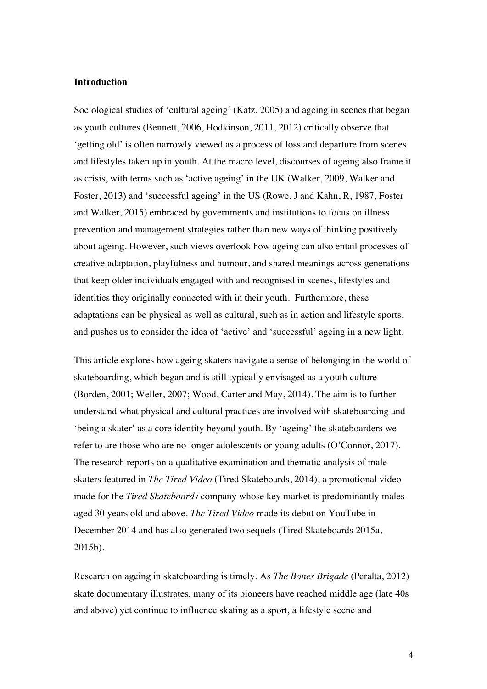### **Introduction**

Sociological studies of 'cultural ageing' (Katz, 2005) and ageing in scenes that began as youth cultures (Bennett, 2006, Hodkinson, 2011, 2012) critically observe that 'getting old' is often narrowly viewed as a process of loss and departure from scenes and lifestyles taken up in youth. At the macro level, discourses of ageing also frame it as crisis, with terms such as 'active ageing' in the UK (Walker, 2009, Walker and Foster, 2013) and 'successful ageing' in the US (Rowe, J and Kahn, R, 1987, Foster and Walker, 2015) embraced by governments and institutions to focus on illness prevention and management strategies rather than new ways of thinking positively about ageing. However, such views overlook how ageing can also entail processes of creative adaptation, playfulness and humour, and shared meanings across generations that keep older individuals engaged with and recognised in scenes, lifestyles and identities they originally connected with in their youth. Furthermore, these adaptations can be physical as well as cultural, such as in action and lifestyle sports, and pushes us to consider the idea of 'active' and 'successful' ageing in a new light.

This article explores how ageing skaters navigate a sense of belonging in the world of skateboarding, which began and is still typically envisaged as a youth culture (Borden, 2001; Weller, 2007; Wood, Carter and May, 2014). The aim is to further understand what physical and cultural practices are involved with skateboarding and 'being a skater' as a core identity beyond youth. By 'ageing' the skateboarders we refer to are those who are no longer adolescents or young adults (O'Connor, 2017). The research reports on a qualitative examination and thematic analysis of male skaters featured in *The Tired Video* (Tired Skateboards, 2014), a promotional video made for the *Tired Skateboards* company whose key market is predominantly males aged 30 years old and above. *The Tired Video* made its debut on YouTube in December 2014 and has also generated two sequels (Tired Skateboards 2015a, 2015b).

Research on ageing in skateboarding is timely. As *The Bones Brigade* (Peralta, 2012) skate documentary illustrates, many of its pioneers have reached middle age (late 40s and above) yet continue to influence skating as a sport, a lifestyle scene and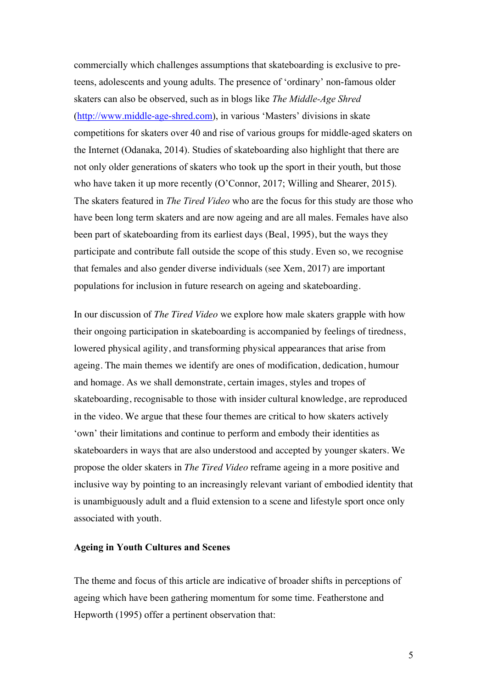commercially which challenges assumptions that skateboarding is exclusive to preteens, adolescents and young adults. The presence of 'ordinary' non-famous older skaters can also be observed, such as in blogs like *The Middle-Age Shred* (http://www.middle-age-shred.com), in various 'Masters' divisions in skate competitions for skaters over 40 and rise of various groups for middle-aged skaters on the Internet (Odanaka, 2014). Studies of skateboarding also highlight that there are not only older generations of skaters who took up the sport in their youth, but those who have taken it up more recently (O'Connor, 2017; Willing and Shearer, 2015). The skaters featured in *The Tired Video* who are the focus for this study are those who have been long term skaters and are now ageing and are all males. Females have also been part of skateboarding from its earliest days (Beal, 1995), but the ways they participate and contribute fall outside the scope of this study. Even so, we recognise that females and also gender diverse individuals (see Xem, 2017) are important populations for inclusion in future research on ageing and skateboarding.

In our discussion of *The Tired Video* we explore how male skaters grapple with how their ongoing participation in skateboarding is accompanied by feelings of tiredness, lowered physical agility, and transforming physical appearances that arise from ageing. The main themes we identify are ones of modification, dedication, humour and homage. As we shall demonstrate, certain images, styles and tropes of skateboarding, recognisable to those with insider cultural knowledge, are reproduced in the video. We argue that these four themes are critical to how skaters actively 'own' their limitations and continue to perform and embody their identities as skateboarders in ways that are also understood and accepted by younger skaters. We propose the older skaters in *The Tired Video* reframe ageing in a more positive and inclusive way by pointing to an increasingly relevant variant of embodied identity that is unambiguously adult and a fluid extension to a scene and lifestyle sport once only associated with youth.

#### **Ageing in Youth Cultures and Scenes**

The theme and focus of this article are indicative of broader shifts in perceptions of ageing which have been gathering momentum for some time. Featherstone and Hepworth (1995) offer a pertinent observation that: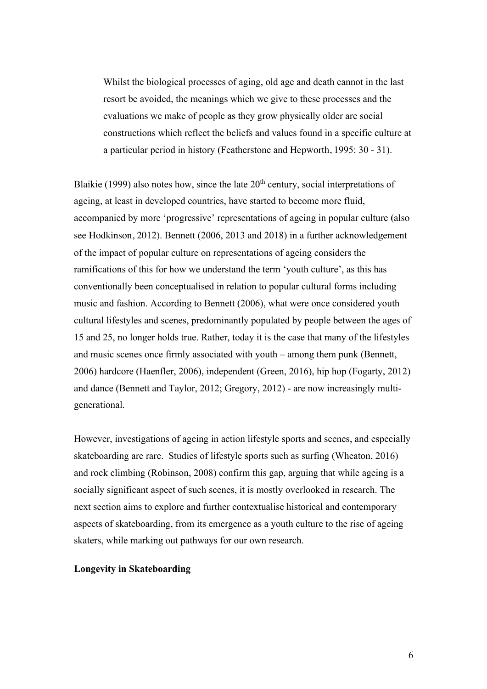Whilst the biological processes of aging, old age and death cannot in the last resort be avoided, the meanings which we give to these processes and the evaluations we make of people as they grow physically older are social constructions which reflect the beliefs and values found in a specific culture at a particular period in history (Featherstone and Hepworth, 1995: 30 - 31).

Blaikie (1999) also notes how, since the late  $20<sup>th</sup>$  century, social interpretations of ageing, at least in developed countries, have started to become more fluid, accompanied by more 'progressive' representations of ageing in popular culture **(**also see Hodkinson, 2012). Bennett (2006, 2013 and 2018) in a further acknowledgement of the impact of popular culture on representations of ageing considers the ramifications of this for how we understand the term 'youth culture', as this has conventionally been conceptualised in relation to popular cultural forms including music and fashion. According to Bennett (2006), what were once considered youth cultural lifestyles and scenes, predominantly populated by people between the ages of 15 and 25, no longer holds true. Rather, today it is the case that many of the lifestyles and music scenes once firmly associated with youth – among them punk (Bennett, 2006) hardcore (Haenfler, 2006), independent (Green, 2016), hip hop (Fogarty, 2012) and dance (Bennett and Taylor, 2012; Gregory, 2012) - are now increasingly multigenerational.

However, investigations of ageing in action lifestyle sports and scenes, and especially skateboarding are rare. Studies of lifestyle sports such as surfing (Wheaton, 2016) and rock climbing (Robinson, 2008) confirm this gap, arguing that while ageing is a socially significant aspect of such scenes, it is mostly overlooked in research. The next section aims to explore and further contextualise historical and contemporary aspects of skateboarding, from its emergence as a youth culture to the rise of ageing skaters, while marking out pathways for our own research.

### **Longevity in Skateboarding**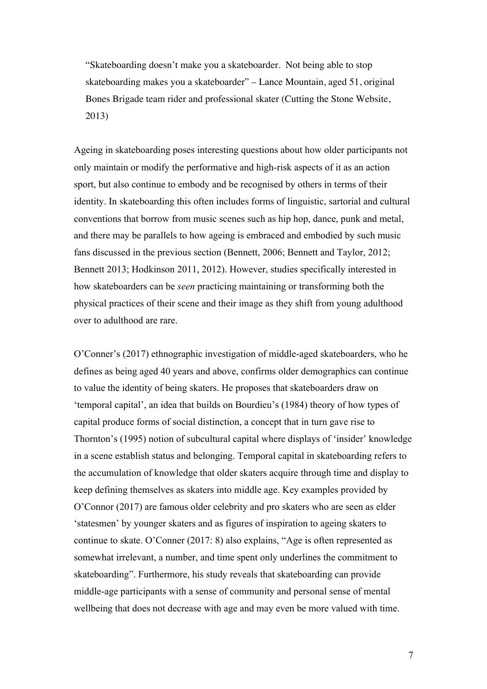"Skateboarding doesn't make you a skateboarder. Not being able to stop skateboarding makes you a skateboarder" – Lance Mountain, aged 51, original Bones Brigade team rider and professional skater (Cutting the Stone Website, 2013)

Ageing in skateboarding poses interesting questions about how older participants not only maintain or modify the performative and high-risk aspects of it as an action sport, but also continue to embody and be recognised by others in terms of their identity. In skateboarding this often includes forms of linguistic, sartorial and cultural conventions that borrow from music scenes such as hip hop, dance, punk and metal, and there may be parallels to how ageing is embraced and embodied by such music fans discussed in the previous section (Bennett, 2006; Bennett and Taylor, 2012; Bennett 2013; Hodkinson 2011, 2012). However, studies specifically interested in how skateboarders can be *seen* practicing maintaining or transforming both the physical practices of their scene and their image as they shift from young adulthood over to adulthood are rare.

O'Conner's (2017) ethnographic investigation of middle-aged skateboarders, who he defines as being aged 40 years and above, confirms older demographics can continue to value the identity of being skaters. He proposes that skateboarders draw on 'temporal capital', an idea that builds on Bourdieu's (1984) theory of how types of capital produce forms of social distinction, a concept that in turn gave rise to Thornton's (1995) notion of subcultural capital where displays of 'insider' knowledge in a scene establish status and belonging. Temporal capital in skateboarding refers to the accumulation of knowledge that older skaters acquire through time and display to keep defining themselves as skaters into middle age. Key examples provided by O'Connor (2017) are famous older celebrity and pro skaters who are seen as elder 'statesmen' by younger skaters and as figures of inspiration to ageing skaters to continue to skate. O'Conner (2017: 8) also explains, "Age is often represented as somewhat irrelevant, a number, and time spent only underlines the commitment to skateboarding". Furthermore, his study reveals that skateboarding can provide middle-age participants with a sense of community and personal sense of mental wellbeing that does not decrease with age and may even be more valued with time.

7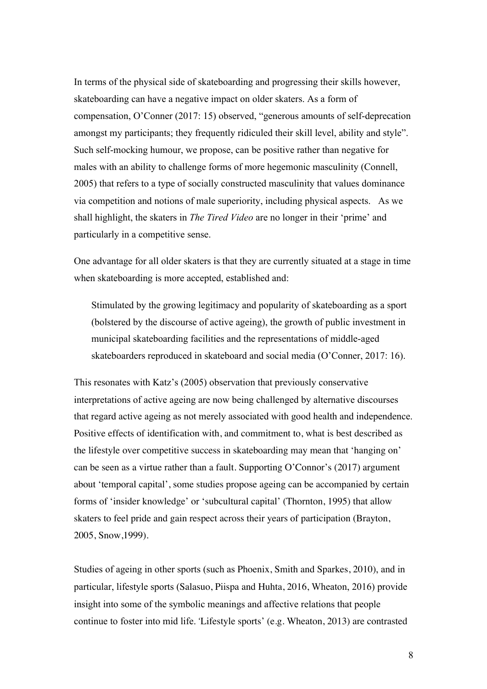In terms of the physical side of skateboarding and progressing their skills however, skateboarding can have a negative impact on older skaters. As a form of compensation, O'Conner (2017: 15) observed, "generous amounts of self-deprecation amongst my participants; they frequently ridiculed their skill level, ability and style". Such self-mocking humour, we propose, can be positive rather than negative for males with an ability to challenge forms of more hegemonic masculinity (Connell, 2005) that refers to a type of socially constructed masculinity that values dominance via competition and notions of male superiority, including physical aspects. As we shall highlight, the skaters in *The Tired Video* are no longer in their 'prime' and particularly in a competitive sense.

One advantage for all older skaters is that they are currently situated at a stage in time when skateboarding is more accepted, established and:

Stimulated by the growing legitimacy and popularity of skateboarding as a sport (bolstered by the discourse of active ageing), the growth of public investment in municipal skateboarding facilities and the representations of middle-aged skateboarders reproduced in skateboard and social media (O'Conner, 2017: 16).

This resonates with Katz's (2005) observation that previously conservative interpretations of active ageing are now being challenged by alternative discourses that regard active ageing as not merely associated with good health and independence. Positive effects of identification with, and commitment to, what is best described as the lifestyle over competitive success in skateboarding may mean that 'hanging on' can be seen as a virtue rather than a fault. Supporting O'Connor's (2017) argument about 'temporal capital', some studies propose ageing can be accompanied by certain forms of 'insider knowledge' or 'subcultural capital' (Thornton, 1995) that allow skaters to feel pride and gain respect across their years of participation (Brayton, 2005, Snow,1999).

Studies of ageing in other sports (such as Phoenix, Smith and Sparkes, 2010), and in particular, lifestyle sports (Salasuo, Piispa and Huhta, 2016, Wheaton, 2016) provide insight into some of the symbolic meanings and affective relations that people continue to foster into mid life. 'Lifestyle sports' (e.g. Wheaton, 2013) are contrasted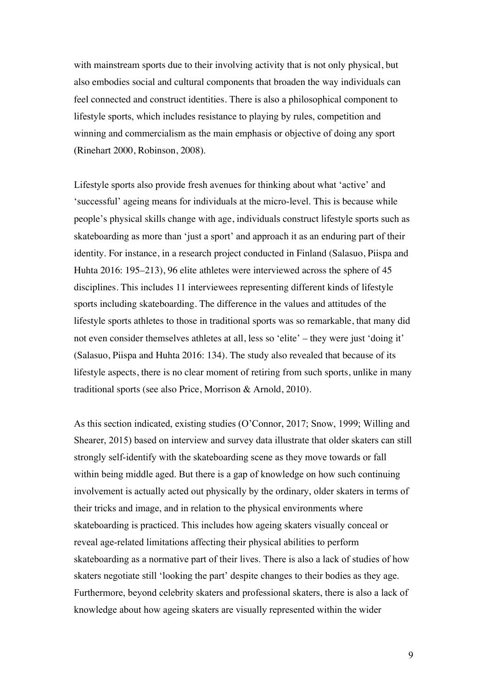with mainstream sports due to their involving activity that is not only physical, but also embodies social and cultural components that broaden the way individuals can feel connected and construct identities. There is also a philosophical component to lifestyle sports, which includes resistance to playing by rules, competition and winning and commercialism as the main emphasis or objective of doing any sport (Rinehart 2000, Robinson, 2008).

Lifestyle sports also provide fresh avenues for thinking about what 'active' and 'successful' ageing means for individuals at the micro-level. This is because while people's physical skills change with age, individuals construct lifestyle sports such as skateboarding as more than 'just a sport' and approach it as an enduring part of their identity. For instance, in a research project conducted in Finland (Salasuo, Piispa and Huhta 2016: 195–213), 96 elite athletes were interviewed across the sphere of 45 disciplines. This includes 11 interviewees representing different kinds of lifestyle sports including skateboarding. The difference in the values and attitudes of the lifestyle sports athletes to those in traditional sports was so remarkable, that many did not even consider themselves athletes at all, less so 'elite' – they were just 'doing it' (Salasuo, Piispa and Huhta 2016: 134). The study also revealed that because of its lifestyle aspects, there is no clear moment of retiring from such sports, unlike in many traditional sports (see also Price, Morrison & Arnold, 2010).

As this section indicated, existing studies (O'Connor, 2017; Snow, 1999; Willing and Shearer, 2015) based on interview and survey data illustrate that older skaters can still strongly self-identify with the skateboarding scene as they move towards or fall within being middle aged. But there is a gap of knowledge on how such continuing involvement is actually acted out physically by the ordinary, older skaters in terms of their tricks and image, and in relation to the physical environments where skateboarding is practiced. This includes how ageing skaters visually conceal or reveal age-related limitations affecting their physical abilities to perform skateboarding as a normative part of their lives. There is also a lack of studies of how skaters negotiate still 'looking the part' despite changes to their bodies as they age. Furthermore, beyond celebrity skaters and professional skaters, there is also a lack of knowledge about how ageing skaters are visually represented within the wider

9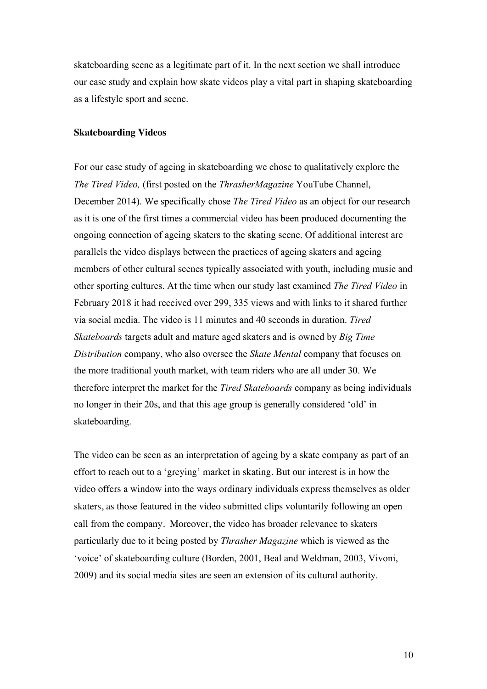skateboarding scene as a legitimate part of it. In the next section we shall introduce our case study and explain how skate videos play a vital part in shaping skateboarding as a lifestyle sport and scene.

### **Skateboarding Videos**

For our case study of ageing in skateboarding we chose to qualitatively explore the *The Tired Video,* (first posted on the *ThrasherMagazine* YouTube Channel, December 2014). We specifically chose *The Tired Video* as an object for our research as it is one of the first times a commercial video has been produced documenting the ongoing connection of ageing skaters to the skating scene. Of additional interest are parallels the video displays between the practices of ageing skaters and ageing members of other cultural scenes typically associated with youth, including music and other sporting cultures. At the time when our study last examined *The Tired Video* in February 2018 it had received over 299, 335 views and with links to it shared further via social media. The video is 11 minutes and 40 seconds in duration. *Tired Skateboards* targets adult and mature aged skaters and is owned by *Big Time Distribution* company, who also oversee the *Skate Mental* company that focuses on the more traditional youth market, with team riders who are all under 30. We therefore interpret the market for the *Tired Skateboards* company as being individuals no longer in their 20s, and that this age group is generally considered 'old' in skateboarding.

The video can be seen as an interpretation of ageing by a skate company as part of an effort to reach out to a 'greying' market in skating. But our interest is in how the video offers a window into the ways ordinary individuals express themselves as older skaters, as those featured in the video submitted clips voluntarily following an open call from the company. Moreover, the video has broader relevance to skaters particularly due to it being posted by *Thrasher Magazine* which is viewed as the 'voice' of skateboarding culture (Borden, 2001, Beal and Weldman, 2003, Vivoni, 2009) and its social media sites are seen an extension of its cultural authority.

10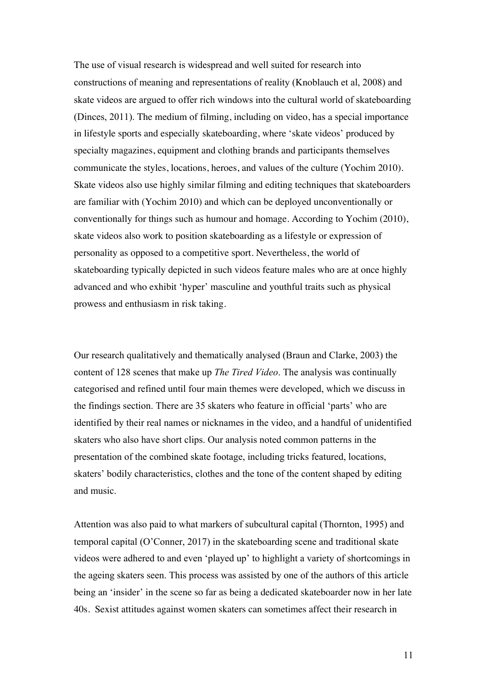The use of visual research is widespread and well suited for research into constructions of meaning and representations of reality (Knoblauch et al, 2008) and skate videos are argued to offer rich windows into the cultural world of skateboarding (Dinces, 2011). The medium of filming, including on video, has a special importance in lifestyle sports and especially skateboarding, where 'skate videos' produced by specialty magazines, equipment and clothing brands and participants themselves communicate the styles, locations, heroes, and values of the culture (Yochim 2010). Skate videos also use highly similar filming and editing techniques that skateboarders are familiar with (Yochim 2010) and which can be deployed unconventionally or conventionally for things such as humour and homage. According to Yochim (2010), skate videos also work to position skateboarding as a lifestyle or expression of personality as opposed to a competitive sport. Nevertheless, the world of skateboarding typically depicted in such videos feature males who are at once highly advanced and who exhibit 'hyper' masculine and youthful traits such as physical prowess and enthusiasm in risk taking.

Our research qualitatively and thematically analysed (Braun and Clarke, 2003) the content of 128 scenes that make up *The Tired Video*. The analysis was continually categorised and refined until four main themes were developed, which we discuss in the findings section. There are 35 skaters who feature in official 'parts' who are identified by their real names or nicknames in the video, and a handful of unidentified skaters who also have short clips. Our analysis noted common patterns in the presentation of the combined skate footage, including tricks featured, locations, skaters' bodily characteristics, clothes and the tone of the content shaped by editing and music.

Attention was also paid to what markers of subcultural capital (Thornton, 1995) and temporal capital (O'Conner, 2017) in the skateboarding scene and traditional skate videos were adhered to and even 'played up' to highlight a variety of shortcomings in the ageing skaters seen. This process was assisted by one of the authors of this article being an 'insider' in the scene so far as being a dedicated skateboarder now in her late 40s. Sexist attitudes against women skaters can sometimes affect their research in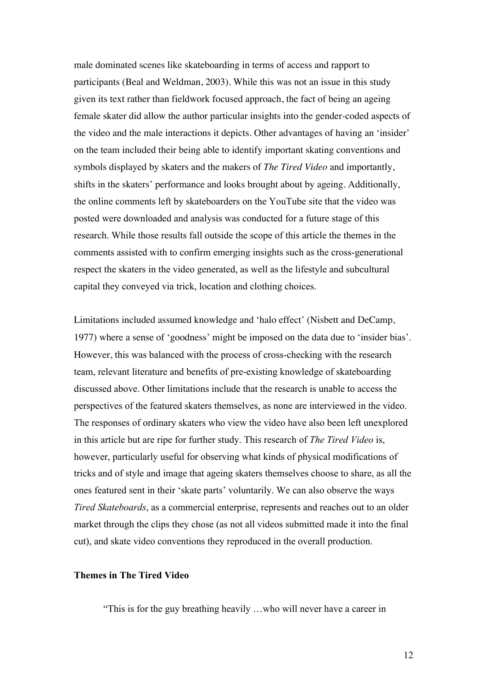male dominated scenes like skateboarding in terms of access and rapport to participants (Beal and Weldman, 2003). While this was not an issue in this study given its text rather than fieldwork focused approach, the fact of being an ageing female skater did allow the author particular insights into the gender-coded aspects of the video and the male interactions it depicts. Other advantages of having an 'insider' on the team included their being able to identify important skating conventions and symbols displayed by skaters and the makers of *The Tired Video* and importantly, shifts in the skaters' performance and looks brought about by ageing. Additionally, the online comments left by skateboarders on the YouTube site that the video was posted were downloaded and analysis was conducted for a future stage of this research. While those results fall outside the scope of this article the themes in the comments assisted with to confirm emerging insights such as the cross-generational respect the skaters in the video generated, as well as the lifestyle and subcultural capital they conveyed via trick, location and clothing choices.

Limitations included assumed knowledge and 'halo effect' (Nisbett and DeCamp, 1977) where a sense of 'goodness' might be imposed on the data due to 'insider bias'. However, this was balanced with the process of cross-checking with the research team, relevant literature and benefits of pre-existing knowledge of skateboarding discussed above. Other limitations include that the research is unable to access the perspectives of the featured skaters themselves, as none are interviewed in the video. The responses of ordinary skaters who view the video have also been left unexplored in this article but are ripe for further study. This research of *The Tired Video* is, however, particularly useful for observing what kinds of physical modifications of tricks and of style and image that ageing skaters themselves choose to share, as all the ones featured sent in their 'skate parts' voluntarily. We can also observe the ways *Tired Skateboards*, as a commercial enterprise, represents and reaches out to an older market through the clips they chose (as not all videos submitted made it into the final cut), and skate video conventions they reproduced in the overall production.

# **Themes in The Tired Video**

"This is for the guy breathing heavily …who will never have a career in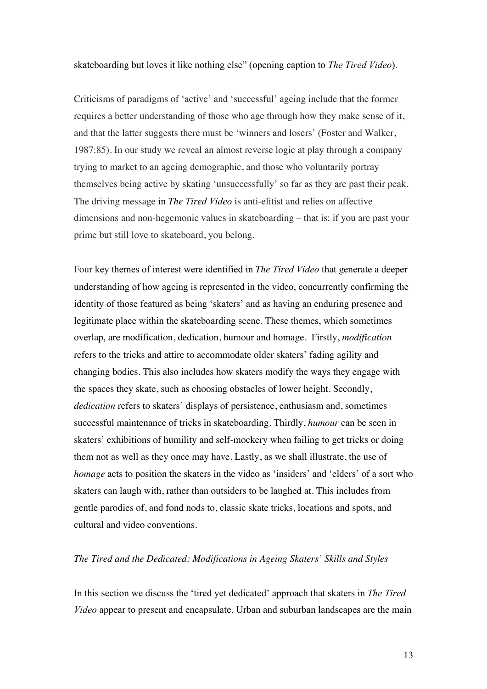#### skateboarding but loves it like nothing else" (opening caption to *The Tired Video*).

Criticisms of paradigms of 'active' and 'successful' ageing include that the former requires a better understanding of those who age through how they make sense of it, and that the latter suggests there must be 'winners and losers' (Foster and Walker, 1987:85). In our study we reveal an almost reverse logic at play through a company trying to market to an ageing demographic, and those who voluntarily portray themselves being active by skating 'unsuccessfully' so far as they are past their peak. The driving message in *The Tired Video* is anti-elitist and relies on affective dimensions and non-hegemonic values in skateboarding – that is: if you are past your prime but still love to skateboard, you belong.

Four key themes of interest were identified in *The Tired Video* that generate a deeper understanding of how ageing is represented in the video, concurrently confirming the identity of those featured as being 'skaters' and as having an enduring presence and legitimate place within the skateboarding scene. These themes, which sometimes overlap, are modification, dedication, humour and homage. Firstly, *modification* refers to the tricks and attire to accommodate older skaters' fading agility and changing bodies. This also includes how skaters modify the ways they engage with the spaces they skate, such as choosing obstacles of lower height. Secondly, *dedication* refers to skaters' displays of persistence, enthusiasm and, sometimes successful maintenance of tricks in skateboarding. Thirdly, *humour* can be seen in skaters' exhibitions of humility and self-mockery when failing to get tricks or doing them not as well as they once may have. Lastly, as we shall illustrate, the use of *homage* acts to position the skaters in the video as 'insiders' and 'elders' of a sort who skaters can laugh with, rather than outsiders to be laughed at. This includes from gentle parodies of, and fond nods to, classic skate tricks, locations and spots, and cultural and video conventions.

### *The Tired and the Dedicated: Modifications in Ageing Skaters' Skills and Styles*

In this section we discuss the 'tired yet dedicated' approach that skaters in *The Tired Video* appear to present and encapsulate. Urban and suburban landscapes are the main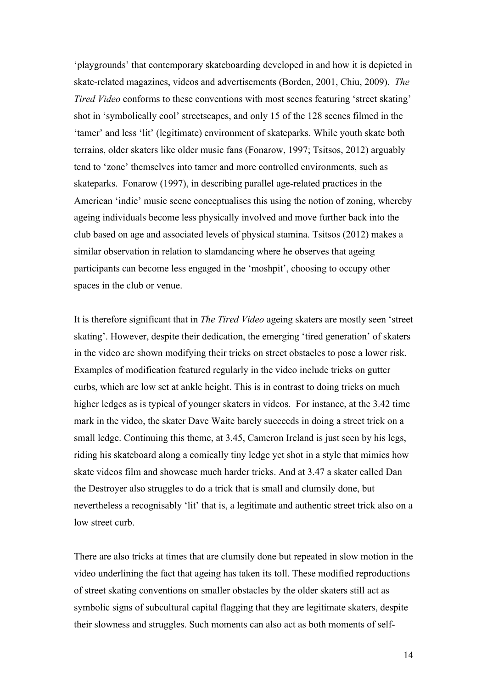'playgrounds' that contemporary skateboarding developed in and how it is depicted in skate-related magazines, videos and advertisements (Borden, 2001, Chiu, 2009). *The Tired Video* conforms to these conventions with most scenes featuring 'street skating' shot in 'symbolically cool' streetscapes, and only 15 of the 128 scenes filmed in the 'tamer' and less 'lit' (legitimate) environment of skateparks. While youth skate both terrains, older skaters like older music fans (Fonarow, 1997; Tsitsos, 2012) arguably tend to 'zone' themselves into tamer and more controlled environments, such as skateparks. Fonarow (1997), in describing parallel age-related practices in the American 'indie' music scene conceptualises this using the notion of zoning, whereby ageing individuals become less physically involved and move further back into the club based on age and associated levels of physical stamina. Tsitsos (2012) makes a similar observation in relation to slamdancing where he observes that ageing participants can become less engaged in the 'moshpit', choosing to occupy other spaces in the club or venue.

It is therefore significant that in *The Tired Video* ageing skaters are mostly seen 'street skating'. However, despite their dedication, the emerging 'tired generation' of skaters in the video are shown modifying their tricks on street obstacles to pose a lower risk. Examples of modification featured regularly in the video include tricks on gutter curbs, which are low set at ankle height. This is in contrast to doing tricks on much higher ledges as is typical of younger skaters in videos. For instance, at the 3.42 time mark in the video, the skater Dave Waite barely succeeds in doing a street trick on a small ledge. Continuing this theme, at 3.45, Cameron Ireland is just seen by his legs, riding his skateboard along a comically tiny ledge yet shot in a style that mimics how skate videos film and showcase much harder tricks. And at 3.47 a skater called Dan the Destroyer also struggles to do a trick that is small and clumsily done, but nevertheless a recognisably 'lit' that is, a legitimate and authentic street trick also on a low street curb.

There are also tricks at times that are clumsily done but repeated in slow motion in the video underlining the fact that ageing has taken its toll. These modified reproductions of street skating conventions on smaller obstacles by the older skaters still act as symbolic signs of subcultural capital flagging that they are legitimate skaters, despite their slowness and struggles. Such moments can also act as both moments of self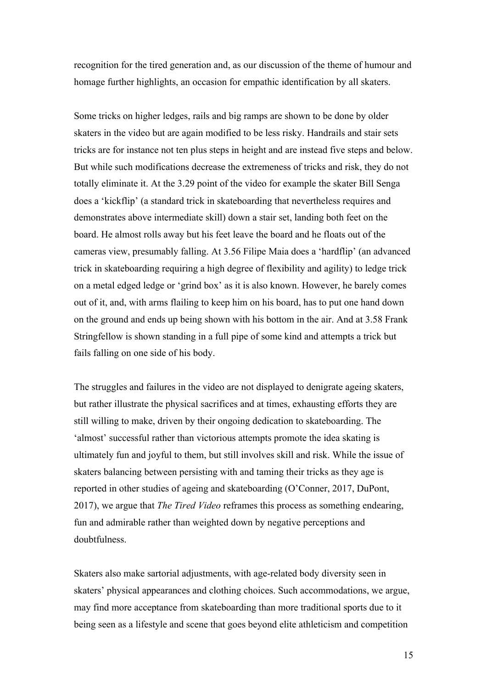recognition for the tired generation and, as our discussion of the theme of humour and homage further highlights, an occasion for empathic identification by all skaters.

Some tricks on higher ledges, rails and big ramps are shown to be done by older skaters in the video but are again modified to be less risky. Handrails and stair sets tricks are for instance not ten plus steps in height and are instead five steps and below. But while such modifications decrease the extremeness of tricks and risk, they do not totally eliminate it. At the 3.29 point of the video for example the skater Bill Senga does a 'kickflip' (a standard trick in skateboarding that nevertheless requires and demonstrates above intermediate skill) down a stair set, landing both feet on the board. He almost rolls away but his feet leave the board and he floats out of the cameras view, presumably falling. At 3.56 Filipe Maia does a 'hardflip' (an advanced trick in skateboarding requiring a high degree of flexibility and agility) to ledge trick on a metal edged ledge or 'grind box' as it is also known. However, he barely comes out of it, and, with arms flailing to keep him on his board, has to put one hand down on the ground and ends up being shown with his bottom in the air. And at 3.58 Frank Stringfellow is shown standing in a full pipe of some kind and attempts a trick but fails falling on one side of his body.

The struggles and failures in the video are not displayed to denigrate ageing skaters, but rather illustrate the physical sacrifices and at times, exhausting efforts they are still willing to make, driven by their ongoing dedication to skateboarding. The 'almost' successful rather than victorious attempts promote the idea skating is ultimately fun and joyful to them, but still involves skill and risk. While the issue of skaters balancing between persisting with and taming their tricks as they age is reported in other studies of ageing and skateboarding (O'Conner, 2017, DuPont, 2017), we argue that *The Tired Video* reframes this process as something endearing, fun and admirable rather than weighted down by negative perceptions and doubtfulness.

Skaters also make sartorial adjustments, with age-related body diversity seen in skaters' physical appearances and clothing choices. Such accommodations, we argue, may find more acceptance from skateboarding than more traditional sports due to it being seen as a lifestyle and scene that goes beyond elite athleticism and competition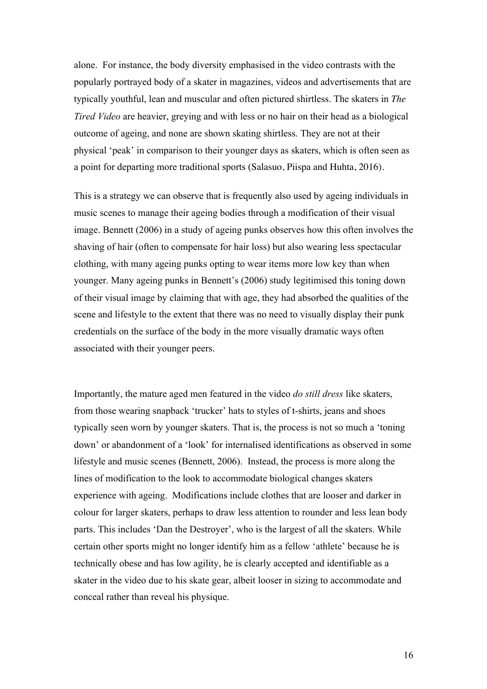alone. For instance, the body diversity emphasised in the video contrasts with the popularly portrayed body of a skater in magazines, videos and advertisements that are typically youthful, lean and muscular and often pictured shirtless. The skaters in *The Tired Video* are heavier, greying and with less or no hair on their head as a biological outcome of ageing, and none are shown skating shirtless. They are not at their physical 'peak' in comparison to their younger days as skaters, which is often seen as a point for departing more traditional sports (Salasuo, Piispa and Huhta, 2016).

This is a strategy we can observe that is frequently also used by ageing individuals in music scenes to manage their ageing bodies through a modification of their visual image. Bennett (2006) in a study of ageing punks observes how this often involves the shaving of hair (often to compensate for hair loss) but also wearing less spectacular clothing, with many ageing punks opting to wear items more low key than when younger. Many ageing punks in Bennett's (2006) study legitimised this toning down of their visual image by claiming that with age, they had absorbed the qualities of the scene and lifestyle to the extent that there was no need to visually display their punk credentials on the surface of the body in the more visually dramatic ways often associated with their younger peers.

Importantly, the mature aged men featured in the video *do still dress* like skaters, from those wearing snapback 'trucker' hats to styles of t-shirts, jeans and shoes typically seen worn by younger skaters. That is, the process is not so much a 'toning down' or abandonment of a 'look' for internalised identifications as observed in some lifestyle and music scenes (Bennett, 2006). Instead, the process is more along the lines of modification to the look to accommodate biological changes skaters experience with ageing. Modifications include clothes that are looser and darker in colour for larger skaters, perhaps to draw less attention to rounder and less lean body parts. This includes 'Dan the Destroyer', who is the largest of all the skaters. While certain other sports might no longer identify him as a fellow 'athlete' because he is technically obese and has low agility, he is clearly accepted and identifiable as a skater in the video due to his skate gear, albeit looser in sizing to accommodate and conceal rather than reveal his physique.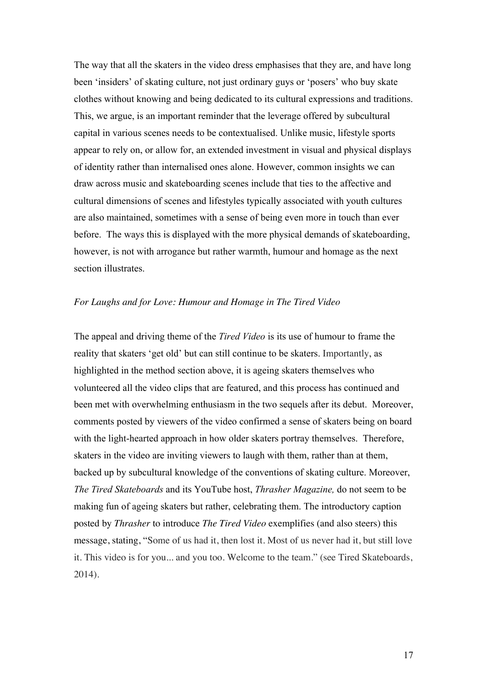The way that all the skaters in the video dress emphasises that they are, and have long been 'insiders' of skating culture, not just ordinary guys or 'posers' who buy skate clothes without knowing and being dedicated to its cultural expressions and traditions. This, we argue, is an important reminder that the leverage offered by subcultural capital in various scenes needs to be contextualised. Unlike music, lifestyle sports appear to rely on, or allow for, an extended investment in visual and physical displays of identity rather than internalised ones alone. However, common insights we can draw across music and skateboarding scenes include that ties to the affective and cultural dimensions of scenes and lifestyles typically associated with youth cultures are also maintained, sometimes with a sense of being even more in touch than ever before. The ways this is displayed with the more physical demands of skateboarding, however, is not with arrogance but rather warmth, humour and homage as the next section illustrates.

### *For Laughs and for Love: Humour and Homage in The Tired Video*

The appeal and driving theme of the *Tired Video* is its use of humour to frame the reality that skaters 'get old' but can still continue to be skaters. Importantly, as highlighted in the method section above, it is ageing skaters themselves who volunteered all the video clips that are featured, and this process has continued and been met with overwhelming enthusiasm in the two sequels after its debut. Moreover, comments posted by viewers of the video confirmed a sense of skaters being on board with the light-hearted approach in how older skaters portray themselves. Therefore, skaters in the video are inviting viewers to laugh with them, rather than at them, backed up by subcultural knowledge of the conventions of skating culture. Moreover, *The Tired Skateboards* and its YouTube host, *Thrasher Magazine,* do not seem to be making fun of ageing skaters but rather, celebrating them. The introductory caption posted by *Thrasher* to introduce *The Tired Video* exemplifies (and also steers) this message, stating, "Some of us had it, then lost it. Most of us never had it, but still love it. This video is for you... and you too. Welcome to the team." (see Tired Skateboards, 2014).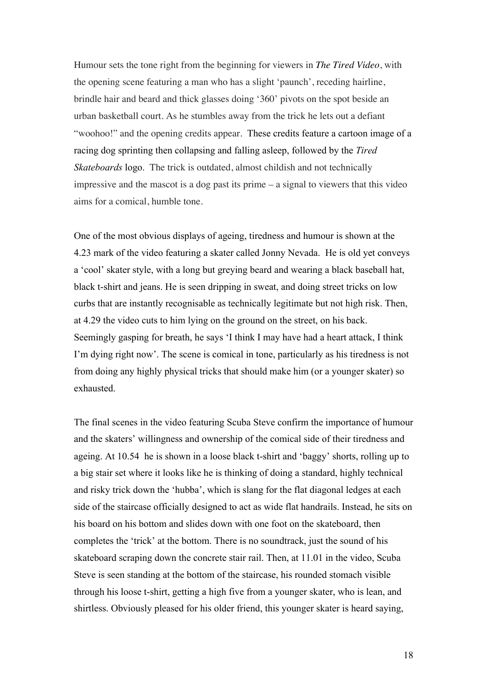Humour sets the tone right from the beginning for viewers in *The Tired Video*, with the opening scene featuring a man who has a slight 'paunch', receding hairline, brindle hair and beard and thick glasses doing '360' pivots on the spot beside an urban basketball court. As he stumbles away from the trick he lets out a defiant "woohoo!" and the opening credits appear. These credits feature a cartoon image of a racing dog sprinting then collapsing and falling asleep, followed by the *Tired Skateboards* logo. The trick is outdated, almost childish and not technically impressive and the mascot is a dog past its prime – a signal to viewers that this video aims for a comical, humble tone.

One of the most obvious displays of ageing, tiredness and humour is shown at the 4.23 mark of the video featuring a skater called Jonny Nevada. He is old yet conveys a 'cool' skater style, with a long but greying beard and wearing a black baseball hat, black t-shirt and jeans. He is seen dripping in sweat, and doing street tricks on low curbs that are instantly recognisable as technically legitimate but not high risk. Then, at 4.29 the video cuts to him lying on the ground on the street, on his back. Seemingly gasping for breath, he says 'I think I may have had a heart attack, I think I'm dying right now'. The scene is comical in tone, particularly as his tiredness is not from doing any highly physical tricks that should make him (or a younger skater) so exhausted.

The final scenes in the video featuring Scuba Steve confirm the importance of humour and the skaters' willingness and ownership of the comical side of their tiredness and ageing. At 10.54 he is shown in a loose black t-shirt and 'baggy' shorts, rolling up to a big stair set where it looks like he is thinking of doing a standard, highly technical and risky trick down the 'hubba', which is slang for the flat diagonal ledges at each side of the staircase officially designed to act as wide flat handrails. Instead, he sits on his board on his bottom and slides down with one foot on the skateboard, then completes the 'trick' at the bottom. There is no soundtrack, just the sound of his skateboard scraping down the concrete stair rail. Then, at 11.01 in the video, Scuba Steve is seen standing at the bottom of the staircase, his rounded stomach visible through his loose t-shirt, getting a high five from a younger skater, who is lean, and shirtless. Obviously pleased for his older friend, this younger skater is heard saying,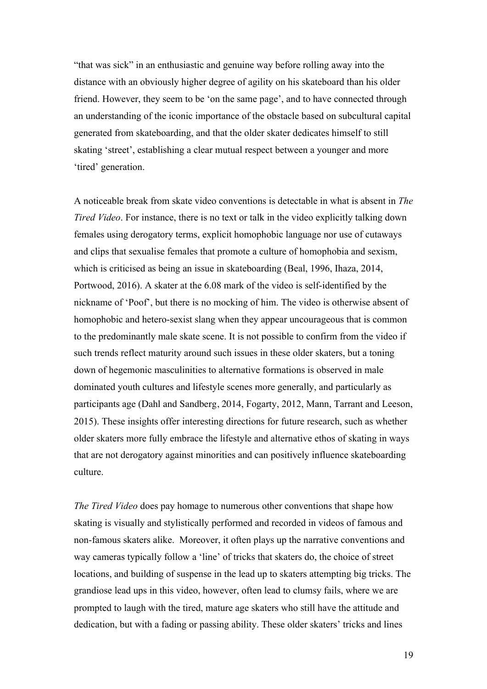"that was sick" in an enthusiastic and genuine way before rolling away into the distance with an obviously higher degree of agility on his skateboard than his older friend. However, they seem to be 'on the same page', and to have connected through an understanding of the iconic importance of the obstacle based on subcultural capital generated from skateboarding, and that the older skater dedicates himself to still skating 'street', establishing a clear mutual respect between a younger and more 'tired' generation.

A noticeable break from skate video conventions is detectable in what is absent in *The Tired Video*. For instance, there is no text or talk in the video explicitly talking down females using derogatory terms, explicit homophobic language nor use of cutaways and clips that sexualise females that promote a culture of homophobia and sexism, which is criticised as being an issue in skateboarding (Beal, 1996, Ihaza, 2014, Portwood, 2016). A skater at the 6.08 mark of the video is self-identified by the nickname of 'Poof', but there is no mocking of him. The video is otherwise absent of homophobic and hetero-sexist slang when they appear uncourageous that is common to the predominantly male skate scene. It is not possible to confirm from the video if such trends reflect maturity around such issues in these older skaters, but a toning down of hegemonic masculinities to alternative formations is observed in male dominated youth cultures and lifestyle scenes more generally, and particularly as participants age (Dahl and Sandberg, 2014, Fogarty, 2012, Mann, Tarrant and Leeson, 2015). These insights offer interesting directions for future research, such as whether older skaters more fully embrace the lifestyle and alternative ethos of skating in ways that are not derogatory against minorities and can positively influence skateboarding culture.

*The Tired Video* does pay homage to numerous other conventions that shape how skating is visually and stylistically performed and recorded in videos of famous and non-famous skaters alike. Moreover, it often plays up the narrative conventions and way cameras typically follow a 'line' of tricks that skaters do, the choice of street locations, and building of suspense in the lead up to skaters attempting big tricks. The grandiose lead ups in this video, however, often lead to clumsy fails, where we are prompted to laugh with the tired, mature age skaters who still have the attitude and dedication, but with a fading or passing ability. These older skaters' tricks and lines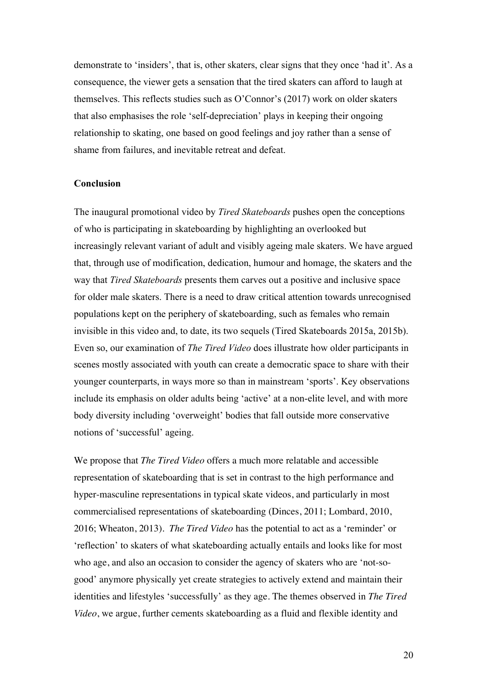demonstrate to 'insiders', that is, other skaters, clear signs that they once 'had it'. As a consequence, the viewer gets a sensation that the tired skaters can afford to laugh at themselves. This reflects studies such as O'Connor's (2017) work on older skaters that also emphasises the role 'self-depreciation' plays in keeping their ongoing relationship to skating, one based on good feelings and joy rather than a sense of shame from failures, and inevitable retreat and defeat.

#### **Conclusion**

The inaugural promotional video by *Tired Skateboards* pushes open the conceptions of who is participating in skateboarding by highlighting an overlooked but increasingly relevant variant of adult and visibly ageing male skaters. We have argued that, through use of modification, dedication, humour and homage, the skaters and the way that *Tired Skateboards* presents them carves out a positive and inclusive space for older male skaters. There is a need to draw critical attention towards unrecognised populations kept on the periphery of skateboarding, such as females who remain invisible in this video and, to date, its two sequels (Tired Skateboards 2015a, 2015b). Even so, our examination of *The Tired Video* does illustrate how older participants in scenes mostly associated with youth can create a democratic space to share with their younger counterparts, in ways more so than in mainstream 'sports'. Key observations include its emphasis on older adults being 'active' at a non-elite level, and with more body diversity including 'overweight' bodies that fall outside more conservative notions of 'successful' ageing.

We propose that *The Tired Video* offers a much more relatable and accessible representation of skateboarding that is set in contrast to the high performance and hyper-masculine representations in typical skate videos, and particularly in most commercialised representations of skateboarding (Dinces, 2011; Lombard, 2010, 2016; Wheaton, 2013). *The Tired Video* has the potential to act as a 'reminder' or 'reflection' to skaters of what skateboarding actually entails and looks like for most who age, and also an occasion to consider the agency of skaters who are 'not-sogood' anymore physically yet create strategies to actively extend and maintain their identities and lifestyles 'successfully' as they age. The themes observed in *The Tired Video*, we argue, further cements skateboarding as a fluid and flexible identity and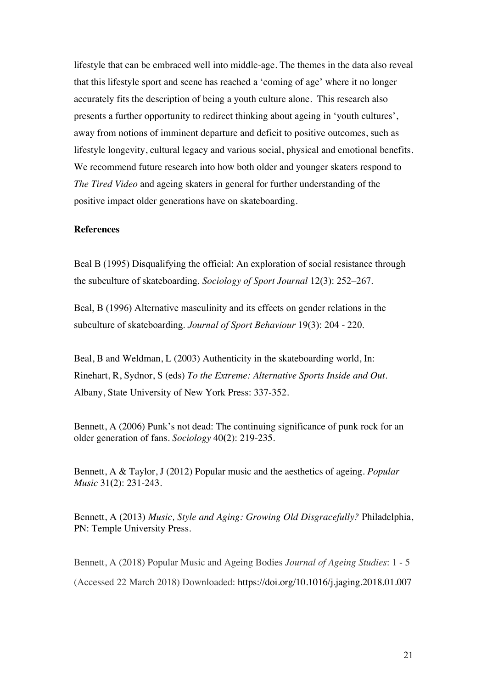lifestyle that can be embraced well into middle-age. The themes in the data also reveal that this lifestyle sport and scene has reached a 'coming of age' where it no longer accurately fits the description of being a youth culture alone. This research also presents a further opportunity to redirect thinking about ageing in 'youth cultures', away from notions of imminent departure and deficit to positive outcomes, such as lifestyle longevity, cultural legacy and various social, physical and emotional benefits. We recommend future research into how both older and younger skaters respond to *The Tired Video* and ageing skaters in general for further understanding of the positive impact older generations have on skateboarding.

#### **References**

Beal B (1995) Disqualifying the official: An exploration of social resistance through the subculture of skateboarding. *Sociology of Sport Journal* 12(3): 252–267.

Beal, B (1996) Alternative masculinity and its effects on gender relations in the subculture of skateboarding. *Journal of Sport Behaviour* 19(3): 204 - 220.

Beal, B and Weldman, L (2003) Authenticity in the skateboarding world, In: Rinehart, R, Sydnor, S (eds) *To the Extreme: Alternative Sports Inside and Out.* Albany, State University of New York Press: 337-352.

Bennett, A (2006) Punk's not dead: The continuing significance of punk rock for an older generation of fans. *Sociology* 40**(**2): 219-235.

Bennett, A & Taylor, J (2012) Popular music and the aesthetics of ageing. *Popular Music* 31**(**2): 231-243.

Bennett, A (2013) *Music, Style and Aging: Growing Old Disgracefully?* Philadelphia, PN: Temple University Press.

Bennett, A (2018) Popular Music and Ageing Bodies *Journal of Ageing Studies*: 1 - 5 (Accessed 22 March 2018) Downloaded: https://doi.org/10.1016/j.jaging.2018.01.007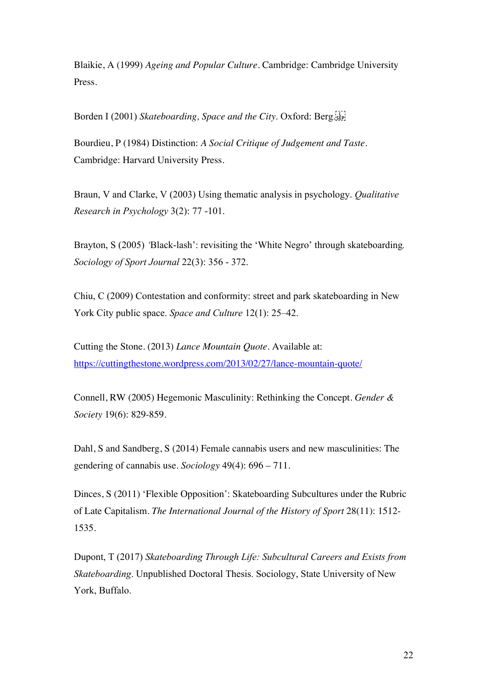Blaikie, A (1999) *Ageing and Popular Culture*. Cambridge: Cambridge University Press.

Borden I (2001) *Skateboarding, Space and the City*. Oxford: Berg.

Bourdieu, P (1984) Distinction: *A Social Critique of Judgement and Taste*. Cambridge: Harvard University Press.

Braun, V and Clarke, V (2003) Using thematic analysis in psychology. *Qualitative Research in Psychology* 3(2): 77 -101.

Brayton, S (2005) *'*Black-lash': revisiting the 'White Negro' through skateboarding*. Sociology of Sport Journal* 22(3): 356 - 372.

Chiu, C (2009) Contestation and conformity: street and park skateboarding in New York City public space. *Space and Culture* 12(1): 25–42.

Cutting the Stone. (2013) *Lance Mountain Quote*. Available at: https://cuttingthestone.wordpress.com/2013/02/27/lance-mountain-quote/

Connell, RW (2005) Hegemonic Masculinity: Rethinking the Concept. *Gender & Society* 19(6): 829-859.

Dahl, S and Sandberg, S (2014) Female cannabis users and new masculinities: The gendering of cannabis use. *Sociology* 49(4): 696 – 711.

Dinces, S (2011) 'Flexible Opposition': Skateboarding Subcultures under the Rubric of Late Capitalism. *The International Journal of the History of Sport* 28(11): 1512- 1535.

Dupont, T (2017) *Skateboarding Through Life: Subcultural Careers and Exists from Skateboarding*. Unpublished Doctoral Thesis. Sociology, State University of New York, Buffalo.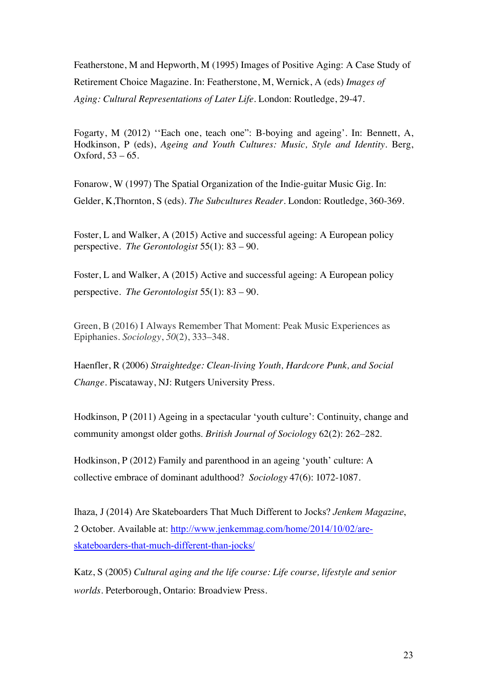Featherstone, M and Hepworth, M (1995) Images of Positive Aging: A Case Study of Retirement Choice Magazine. In: Featherstone, M, Wernick, A (eds) *Images of Aging: Cultural Representations of Later Life*. London: Routledge, 29-47.

Fogarty, M (2012) ''Each one, teach one": B-boying and ageing'. In: Bennett, A, Hodkinson, P (eds), *Ageing and Youth Cultures: Music, Style and Identity*. Berg, Oxford,  $53 - 65$ .

Fonarow, W (1997) The Spatial Organization of the Indie-guitar Music Gig. In: Gelder, K,Thornton, S (eds). *The Subcultures Reader*. London: Routledge, 360-369.

Foster, L and Walker, A (2015) Active and successful ageing: A European policy perspective. *The Gerontologist* 55(1): 83 – 90.

Foster, L and Walker, A (2015) Active and successful ageing: A European policy perspective. *The Gerontologist* 55(1): 83 – 90.

Green, B (2016) I Always Remember That Moment: Peak Music Experiences as Epiphanies. *Sociology*, *50*(2), 333–348.

Haenfler, R (2006) *Straightedge: Clean-living Youth, Hardcore Punk, and Social Change*. Piscataway, NJ: Rutgers University Press.

Hodkinson, P (2011) Ageing in a spectacular 'youth culture': Continuity, change and community amongst older goths. *British Journal of Sociology* 62(2): 262–282.

Hodkinson, P (2012) Family and parenthood in an ageing 'youth' culture: A collective embrace of dominant adulthood? *Sociology* 47(6): 1072-1087.

Ihaza, J (2014) Are Skateboarders That Much Different to Jocks? *Jenkem Magazine*, 2 October. Available at: http://www.jenkemmag.com/home/2014/10/02/areskateboarders-that-much-different-than-jocks/

Katz, S (2005) *Cultural aging and the life course: Life course, lifestyle and senior worlds*. Peterborough, Ontario: Broadview Press.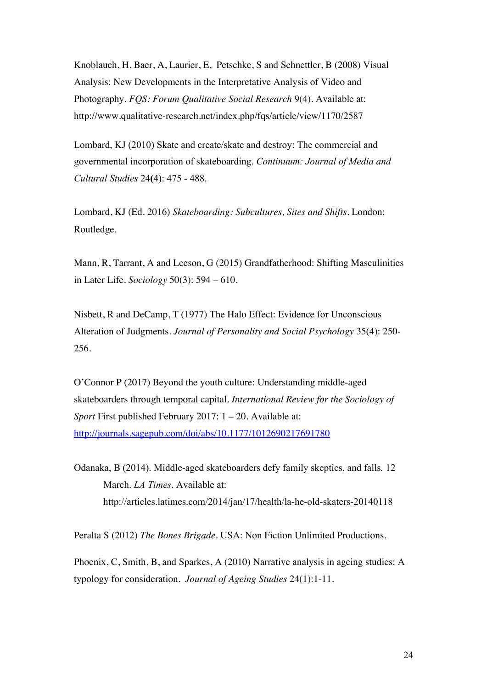Knoblauch, H, Baer, A, Laurier, E, Petschke, S and Schnettler, B (2008) Visual Analysis: New Developments in the Interpretative Analysis of Video and Photography. *FQS: Forum Qualitative Social Research* 9(4). Available at: http://www.qualitative-research.net/index.php/fqs/article/view/1170/2587

Lombard, KJ (2010) Skate and create/skate and destroy: The commercial and governmental incorporation of skateboarding. *Continuum: Journal of Media and Cultural Studies* 24**(**4): 475 - 488.

Lombard, KJ (Ed. 2016) *Skateboarding: Subcultures, Sites and Shifts*. London: Routledge.

Mann, R, Tarrant, A and Leeson, G (2015) Grandfatherhood: Shifting Masculinities in Later Life. *Sociology* 50(3): 594 – 610.

Nisbett, R and DeCamp, T (1977) The Halo Effect: Evidence for Unconscious Alteration of Judgments. *Journal of Personality and Social Psychology* 35(4): 250- 256.

O'Connor P (2017) Beyond the youth culture: Understanding middle-aged skateboarders through temporal capital. *International Review for the Sociology of Sport* First published February 2017: 1 – 20. Available at: http://journals.sagepub.com/doi/abs/10.1177/1012690217691780

Odanaka, B (2014). Middle-aged skateboarders defy family skeptics, and falls*.* 12 March. *LA Times*. Available at: http://articles.latimes.com/2014/jan/17/health/la-he-old-skaters-20140118

Peralta S (2012) *The Bones Brigade*. USA: Non Fiction Unlimited Productions.

Phoenix, C, Smith, B, and Sparkes, A (2010) Narrative analysis in ageing studies: A typology for consideration. *Journal of Ageing Studies* 24(1):1-11.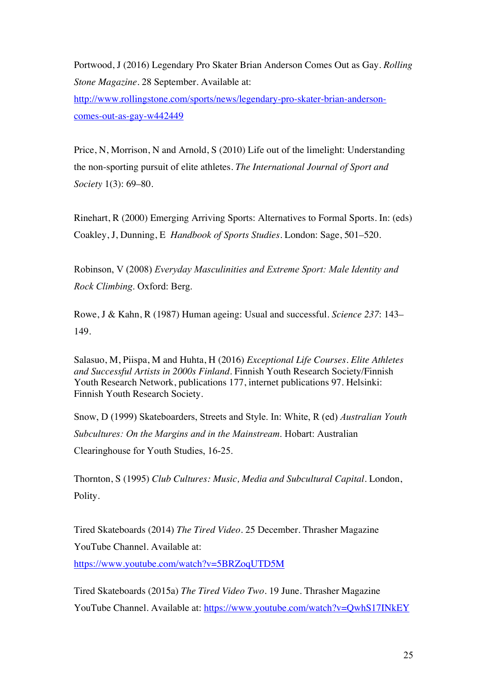Portwood, J (2016) Legendary Pro Skater Brian Anderson Comes Out as Gay. *Rolling Stone Magazine*. 28 September. Available at:

http://www.rollingstone.com/sports/news/legendary-pro-skater-brian-andersoncomes-out-as-gay-w442449

Price, N, Morrison, N and Arnold, S (2010) Life out of the limelight: Understanding the non-sporting pursuit of elite athletes. *The International Journal of Sport and Society* 1(3): 69–80.

Rinehart, R (2000) Emerging Arriving Sports: Alternatives to Formal Sports. In: (eds) Coakley, J, Dunning, E *Handbook of Sports Studies*. London: Sage, 501–520.

Robinson, V (2008) *Everyday Masculinities and Extreme Sport: Male Identity and Rock Climbing*. Oxford: Berg.

Rowe, J & Kahn, R (1987) Human ageing: Usual and successful. *Science 237*: 143– 149.

Salasuo, M, Piispa, M and Huhta, H (2016) *Exceptional Life Courses. Elite Athletes and Successful Artists in 2000s Finland*. Finnish Youth Research Society/Finnish Youth Research Network, publications 177, internet publications 97. Helsinki: Finnish Youth Research Society.

Snow, D (1999) Skateboarders, Streets and Style. In: White, R (ed) *Australian Youth Subcultures: On the Margins and in the Mainstream*. Hobart: Australian Clearinghouse for Youth Studies, 16-25.

Thornton, S (1995) *Club Cultures: Music, Media and Subcultural Capital*. London, Polity.

Tired Skateboards (2014) *The Tired Video*. 25 December. Thrasher Magazine YouTube Channel. Available at: https://www.youtube.com/watch?v=5BRZoqUTD5M

Tired Skateboards (2015a) *The Tired Video Two*. 19 June. Thrasher Magazine YouTube Channel. Available at: https://www.youtube.com/watch?v=QwhS17INkEY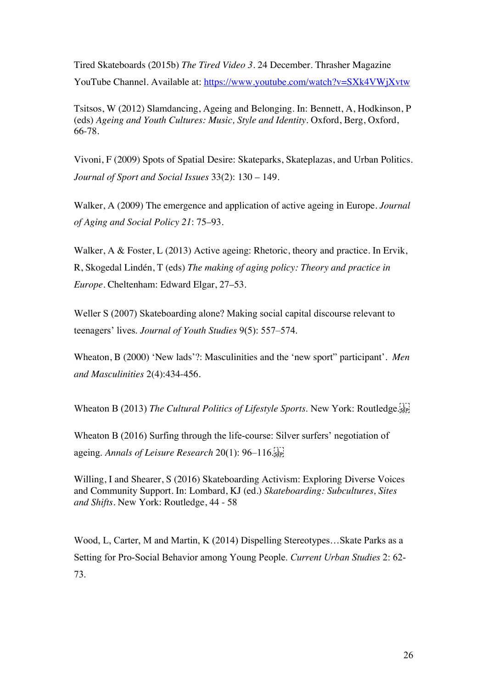Tired Skateboards (2015b) *The Tired Video 3*. 24 December. Thrasher Magazine YouTube Channel. Available at: https://www.youtube.com/watch?v=SXk4VWjXvtw

Tsitsos, W (2012) Slamdancing, Ageing and Belonging. In: Bennett, A, Hodkinson, P (eds) *Ageing and Youth Cultures: Music, Style and Identity*. Oxford, Berg, Oxford, 66-78.

Vivoni, F (2009) Spots of Spatial Desire: Skateparks, Skateplazas, and Urban Politics. *Journal of Sport and Social Issues* 33(2): 130 – 149.

Walker, A (2009) The emergence and application of active ageing in Europe. *Journal of Aging and Social Policy 21*: 75–93.

Walker, A & Foster, L (2013) Active ageing: Rhetoric, theory and practice. In Ervik, R, Skogedal Lindén, T (eds) *The making of aging policy: Theory and practice in Europe.* Cheltenham: Edward Elgar, 27–53.

Weller S (2007) Skateboarding alone? Making social capital discourse relevant to teenagers' lives. *Journal of Youth Studies* 9(5): 557–574.

Wheaton, B (2000) 'New lads'?: Masculinities and the 'new sport" participant'. *Men and Masculinities* 2(4):434-456.

Wheaton B (2013) *The Cultural Politics of Lifestyle Sports*. New York: Routledge.

Wheaton B (2016) Surfing through the life-course: Silver surfers' negotiation of ageing. *Annals of Leisure Research* 20(1): 96–116.

Willing, I and Shearer, S (2016) Skateboarding Activism: Exploring Diverse Voices and Community Support. In: Lombard, KJ (ed.) *Skateboarding: Subcultures, Sites and Shifts.* New York: Routledge, 44 - 58

Wood, L, Carter, M and Martin, K (2014) Dispelling Stereotypes…Skate Parks as a Setting for Pro-Social Behavior among Young People. *Current Urban Studies* 2: 62- 73.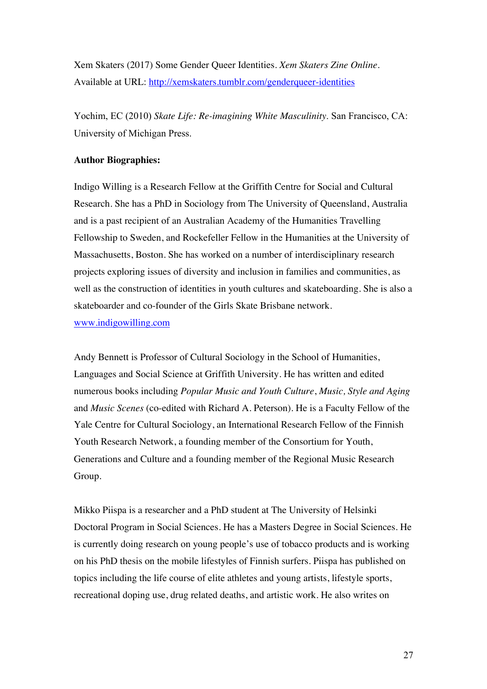Xem Skaters (2017) Some Gender Queer Identities. *Xem Skaters Zine Online*. Available at URL: http://xemskaters.tumblr.com/genderqueer-identities

Yochim, EC (2010) *Skate Life: Re-imagining White Masculinity*. San Francisco, CA: University of Michigan Press.

### **Author Biographies:**

Indigo Willing is a Research Fellow at the Griffith Centre for Social and Cultural Research. She has a PhD in Sociology from The University of Queensland, Australia and is a past recipient of an Australian Academy of the Humanities Travelling Fellowship to Sweden, and Rockefeller Fellow in the Humanities at the University of Massachusetts, Boston. She has worked on a number of interdisciplinary research projects exploring issues of diversity and inclusion in families and communities, as well as the construction of identities in youth cultures and skateboarding. She is also a skateboarder and co-founder of the Girls Skate Brisbane network. www.indigowilling.com

Andy Bennett is Professor of Cultural Sociology in the School of Humanities, Languages and Social Science at Griffith University. He has written and edited numerous books including *Popular Music and Youth Culture*, *Music, Style and Aging* and *Music Scenes* (co-edited with Richard A. Peterson). He is a Faculty Fellow of the Yale Centre for Cultural Sociology, an International Research Fellow of the Finnish Youth Research Network, a founding member of the Consortium for Youth, Generations and Culture and a founding member of the Regional Music Research Group.

Mikko Piispa is a researcher and a PhD student at The University of Helsinki Doctoral Program in Social Sciences. He has a Masters Degree in Social Sciences. He is currently doing research on young people's use of tobacco products and is working on his PhD thesis on the mobile lifestyles of Finnish surfers. Piispa has published on topics including the life course of elite athletes and young artists, lifestyle sports, recreational doping use, drug related deaths, and artistic work. He also writes on